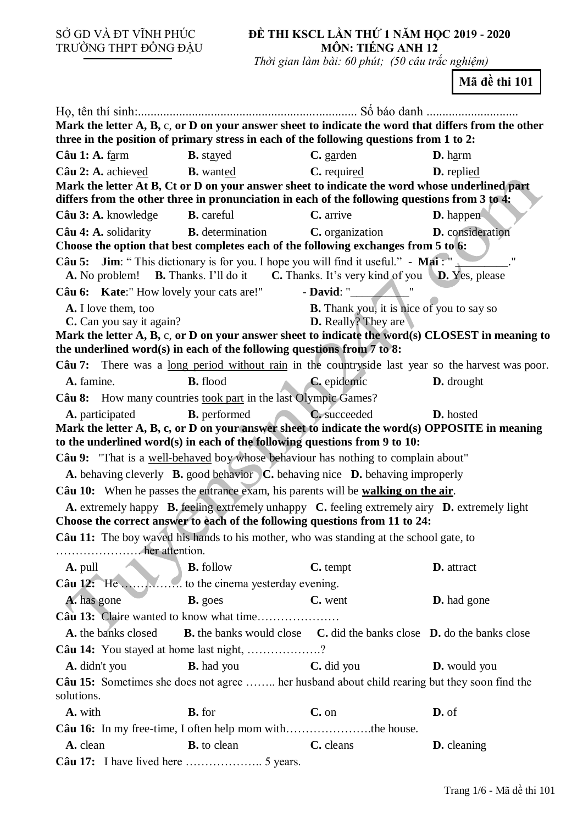SỞ GD VÀ ĐT VĨNH PHÚC TRƯỜNG THPT ĐỒNG ĐẬU

## **ĐỀ THI KSCL LẦN THỨ 1 NĂM HỌC 2019 - 2020 MÔN: TIẾNG ANH 12**

 *Thời gian làm bài: 60 phút; (50 câu trắc nghiệm)*

**Mã đề thi 101**

| Mark the letter A, B, c, or D on your answer sheet to indicate the word that differs from the other                          |                                                                                              |                                                  |                     |  |  |  |  |
|------------------------------------------------------------------------------------------------------------------------------|----------------------------------------------------------------------------------------------|--------------------------------------------------|---------------------|--|--|--|--|
| three in the position of primary stress in each of the following questions from 1 to 2:                                      |                                                                                              |                                                  |                     |  |  |  |  |
| Câu 1: A. $f_{\text{arm}}$                                                                                                   | <b>B.</b> stayed                                                                             | $C.$ garden                                      | $D. harm$           |  |  |  |  |
| Câu 2: A. achieved<br>Mark the letter At B, Ct or D on your answer sheet to indicate the word whose underlined part          | <b>B.</b> wanted                                                                             | <b>C.</b> required                               | <b>D.</b> replied   |  |  |  |  |
| differs from the other three in pronunciation in each of the following questions from 3 to 4:                                |                                                                                              |                                                  |                     |  |  |  |  |
| Câu 3: A. knowledge                                                                                                          | <b>B.</b> careful                                                                            | C. arrive                                        | <b>D.</b> happen    |  |  |  |  |
| <b>Câu 4: A.</b> solidarity <b>B.</b> determination                                                                          |                                                                                              | C. organization                                  | D. consideration    |  |  |  |  |
| Choose the option that best completes each of the following exchanges from 5 to 6:                                           |                                                                                              |                                                  |                     |  |  |  |  |
| <b>Câu 5:</b> Jim: "This dictionary is for you. I hope you will find it useful." - Mai: "                                    |                                                                                              |                                                  | $^{\prime\prime}$   |  |  |  |  |
|                                                                                                                              | A. No problem! B. Thanks. I'll do it C. Thanks. It's very kind of you D. Yes, please         |                                                  |                     |  |  |  |  |
| Câu 6: Kate:" How lovely your cats are!"                                                                                     |                                                                                              | $-David:$                                        |                     |  |  |  |  |
| A. I love them, too                                                                                                          |                                                                                              | <b>B.</b> Thank you, it is nice of you to say so |                     |  |  |  |  |
| C. Can you say it again?<br>Mark the letter A, B, c, or D on your answer sheet to indicate the word(s) CLOSEST in meaning to |                                                                                              | <b>D.</b> Really? They are                       |                     |  |  |  |  |
| the underlined word(s) in each of the following questions from $7$ to 8:                                                     |                                                                                              |                                                  |                     |  |  |  |  |
| Câu 7: There was a <u>long period without rain</u> in the countryside last year so the harvest was poor.                     |                                                                                              |                                                  |                     |  |  |  |  |
| A. famine.                                                                                                                   | <b>B.</b> flood                                                                              | C. epidemic                                      | D. drought          |  |  |  |  |
| Câu 8: How many countries took part in the last Olympic Games?                                                               |                                                                                              |                                                  |                     |  |  |  |  |
| A. participated                                                                                                              | <b>B.</b> performed                                                                          | C. succeeded                                     | <b>D.</b> hosted    |  |  |  |  |
| Mark the letter A, B, c, or D on your answer sheet to indicate the word(s) OPPOSITE in meaning                               |                                                                                              |                                                  |                     |  |  |  |  |
| to the underlined word(s) in each of the following questions from 9 to 10:                                                   |                                                                                              |                                                  |                     |  |  |  |  |
| Câu 9: "That is a well-behaved boy whose behaviour has nothing to complain about"                                            |                                                                                              |                                                  |                     |  |  |  |  |
|                                                                                                                              | A. behaving cleverly B. good behavior C. behaving nice D. behaving improperly                |                                                  |                     |  |  |  |  |
| Câu 10: When he passes the entrance exam, his parents will be walking on the air.                                            |                                                                                              |                                                  |                     |  |  |  |  |
| Choose the correct answer to each of the following questions from 11 to 24:                                                  | A. extremely happy B. feeling extremely unhappy C. feeling extremely airy D. extremely light |                                                  |                     |  |  |  |  |
| Câu 11: The boy waved his hands to his mother, who was standing at the school gate, to                                       |                                                                                              |                                                  |                     |  |  |  |  |
|                                                                                                                              |                                                                                              |                                                  |                     |  |  |  |  |
| A. pull                                                                                                                      | <b>B.</b> follow                                                                             | C. tempt                                         | D. attract          |  |  |  |  |
| Câu 12: He                                                                                                                   | to the cinema yesterday evening.                                                             |                                                  |                     |  |  |  |  |
| A. has gone                                                                                                                  | <b>B.</b> goes                                                                               | C. went                                          | <b>D.</b> had gone  |  |  |  |  |
|                                                                                                                              |                                                                                              |                                                  |                     |  |  |  |  |
| A. the banks closed                                                                                                          | <b>B.</b> the banks would close <b>C.</b> did the banks close <b>D.</b> do the banks close   |                                                  |                     |  |  |  |  |
| Câu 14: You stayed at home last night, ?                                                                                     |                                                                                              |                                                  |                     |  |  |  |  |
| A. didn't you                                                                                                                | <b>B.</b> had you                                                                            | C. did you                                       | <b>D.</b> would you |  |  |  |  |
| Câu 15: Sometimes she does not agree  her husband about child rearing but they soon find the                                 |                                                                                              |                                                  |                     |  |  |  |  |
| solutions.                                                                                                                   |                                                                                              |                                                  |                     |  |  |  |  |
| A. with                                                                                                                      | <b>B.</b> for                                                                                | C. on                                            | D. of               |  |  |  |  |
| Câu 16: In my free-time, I often help mom withthe house.                                                                     |                                                                                              |                                                  |                     |  |  |  |  |
| A. clean                                                                                                                     | <b>B.</b> to clean                                                                           | C. cleans                                        | <b>D.</b> cleaning  |  |  |  |  |
|                                                                                                                              |                                                                                              |                                                  |                     |  |  |  |  |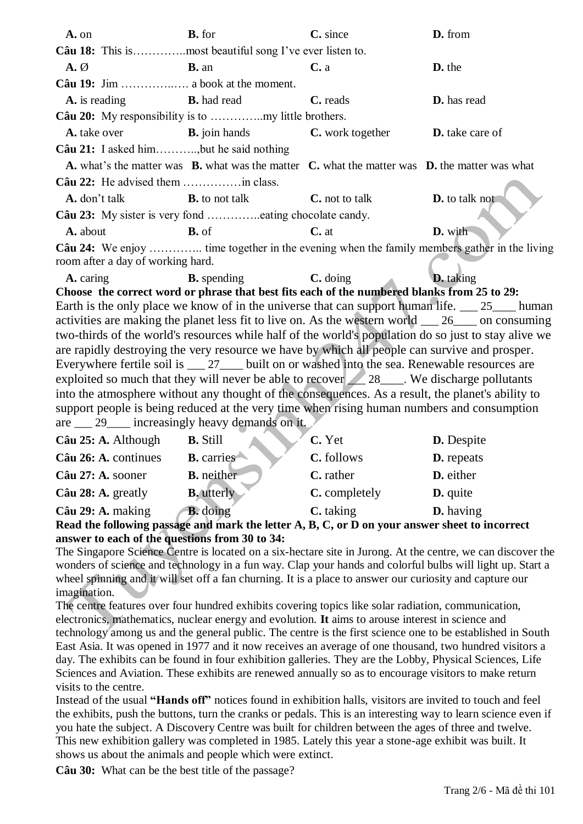| A. on                             | <b>B.</b> for                                                                                                      | C. since               |                        |  |  |
|-----------------------------------|--------------------------------------------------------------------------------------------------------------------|------------------------|------------------------|--|--|
|                                   |                                                                                                                    |                        |                        |  |  |
| $\mathbf{A}.\emptyset$            | $B.$ an                                                                                                            | C. a                   | D. the                 |  |  |
|                                   |                                                                                                                    |                        |                        |  |  |
| <b>A.</b> is reading              | <b>B.</b> had read                                                                                                 | C. reads               | D. has read            |  |  |
|                                   |                                                                                                                    |                        |                        |  |  |
|                                   | <b>A.</b> take over <b>B.</b> join hands <b>C.</b> work together                                                   |                        | <b>D.</b> take care of |  |  |
|                                   | <b>Câu 21:</b> I asked him, but he said nothing                                                                    |                        |                        |  |  |
|                                   | A. what's the matter was <b>B.</b> what was the matter <b>C.</b> what the matter was <b>D.</b> the matter was what |                        |                        |  |  |
|                                   |                                                                                                                    |                        |                        |  |  |
|                                   | <b>A.</b> don't talk <b>B.</b> to not talk                                                                         | <b>C</b> . not to talk | <b>D.</b> to talk not  |  |  |
|                                   |                                                                                                                    |                        |                        |  |  |
| <b>A.</b> about                   | $B. of$                                                                                                            | $C.$ at                | D. with                |  |  |
| room after a day of working hard. | Câu 24: We enjoy  time together in the evening when the family members gather in the living                        |                        |                        |  |  |

**D.** taking A. caring **B.** spending  $C.$  doing Choose the correct word or phrase that best fits each of the numbered blanks from 25 to 29: Earth is the only place we know of in the universe that can support human life. 25 human activities are making the planet less fit to live on. As the western world 26 on consuming two-thirds of the world's resources while half of the world's population do so just to stay alive we are rapidly destroying the very resource we have by which all people can survive and prosper. Everywhere fertile soil is 27 built on or washed into the sea. Renewable resources are exploited so much that they will never be able to recover  $\angle$  28  $\angle$ . We discharge pollutants into the atmosphere without any thought of the consequences. As a result, the planet's ability to support people is being reduced at the very time when rising human numbers and consumption are 29 increasingly heavy demands on it.

| Câu 29: A. making    | <b>B.</b> doing   | C. taking     | <b>D.</b> having  |  |
|----------------------|-------------------|---------------|-------------------|--|
| Câu 28: A. greatly   | <b>B.</b> utterly | C. completely | <b>D.</b> quite   |  |
| Câu 27: A. sooner    | <b>B.</b> neither | C. rather     | D. either         |  |
| Câu 26: A. continues | <b>B.</b> carries | C. follows    | <b>D.</b> repeats |  |
| Câu 25: A. Although  | <b>B.</b> Still   | C. Yet        | <b>D.</b> Despite |  |

Read the following passage and mark the letter A, B, C, or D on your answer sheet to incorrect answer to each of the questions from 30 to 34:

The Singapore Science Centre is located on a six-hectare site in Jurong. At the centre, we can discover the wonders of science and technology in a fun way. Clap your hands and colorful bulbs will light up. Start a wheel spinning and it will set off a fan churning. It is a place to answer our curiosity and capture our imagination.

The centre features over four hundred exhibits covering topics like solar radiation, communication, electronics, mathematics, nuclear energy and evolution. It aims to arouse interest in science and technology among us and the general public. The centre is the first science one to be established in South East Asia. It was opened in 1977 and it now receives an average of one thousand, two hundred visitors a day. The exhibits can be found in four exhibition galleries. They are the Lobby, Physical Sciences, Life Sciences and Aviation. These exhibits are renewed annually so as to encourage visitors to make return visits to the centre.

Instead of the usual "Hands off" notices found in exhibition halls, visitors are invited to touch and feel the exhibits, push the buttons, turn the cranks or pedals. This is an interesting way to learn science even if you hate the subject. A Discovery Centre was built for children between the ages of three and twelve. This new exhibition gallery was completed in 1985. Lately this year a stone-age exhibit was built. It shows us about the animals and people which were extinct.

Câu 30: What can be the best title of the passage?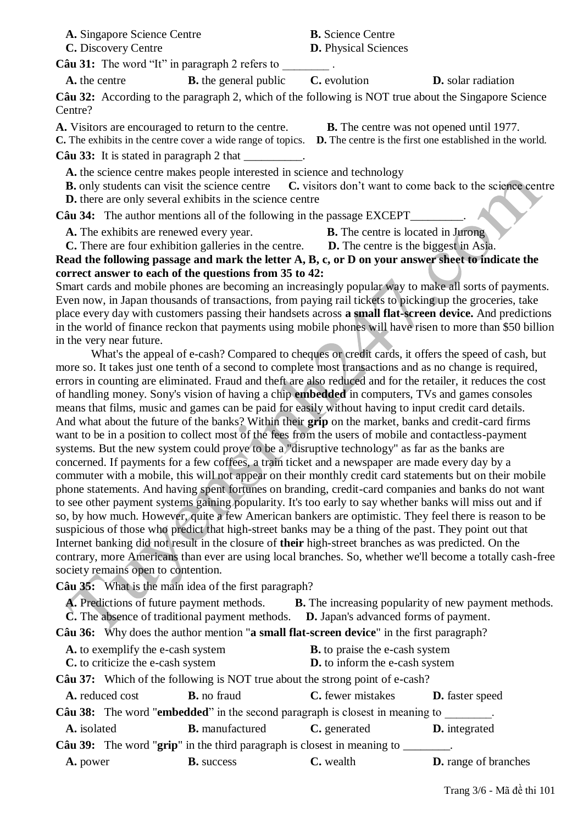**A.** Singapore Science Centre **B.** Science Centre

**C.** Discovery Centre **D.** Physical Sciences

**Câu 31:** The word "It" in paragraph 2 refers to

**A.** the centre **B.** the general public **C.** evolution **D.** solar radiation

**Câu 32:** According to the paragraph 2, which of the following is NOT true about the Singapore Science Centre?

**A.** Visitors are encouraged to return to the centre. **B.** The centre was not opened until 1977.

**C.** The exhibits in the centre cover a wide range of topics. **D.** The centre is the first one established in the world.

**Câu 33:** It is stated in paragraph 2 that

**A.** the science centre makes people interested in science and technology

**B.** only students can visit the science centre **C.** visitors don't want to come back to the science centre **D.** there are only several exhibits in the science centre

**Câu 34:** The author mentions all of the following in the passage EXCEPT

**A.** The exhibits are renewed every year. **B.** The centre is located in Jurong

**C.** There are four exhibition galleries in the centre. **D.** The centre is the biggest in Asia. **Read the following passage and mark the letter A, B, c, or D on your answer sheet to indicate the correct answer to each of the questions from 35 to 42:**

Smart cards and mobile phones are becoming an increasingly popular way to make all sorts of payments. Even now, in Japan thousands of transactions, from paying rail tickets to picking up the groceries, take place every day with customers passing their handsets across **a small flat-screen device.** And predictions in the world of finance reckon that payments using mobile phones will have risen to more than \$50 billion in the very near future.

 What's the appeal of e-cash? Compared to cheques or credit cards, it offers the speed of cash, but more so. It takes just one tenth of a second to complete most transactions and as no change is required, errors in counting are eliminated. Fraud and theft are also reduced and for the retailer, it reduces the cost of handling money. Sony's vision of having a chip **embedded** in computers, TVs and games consoles means that films, music and games can be paid for easily without having to input credit card details. And what about the future of the banks? Within their **grip** on the market, banks and credit-card firms want to be in a position to collect most of the fees from the users of mobile and contactless-payment systems. But the new system could prove to be a "disruptive technology" as far as the banks are concerned. If payments for a few coffees, a train ticket and a newspaper are made every day by a commuter with a mobile, this will not appear on their monthly credit card statements but on their mobile phone statements. And having spent fortunes on branding, credit-card companies and banks do not want to see other payment systems gaining popularity. It's too early to say whether banks will miss out and if so, by how much. However, quite a few American bankers are optimistic. They feel there is reason to be suspicious of those who predict that high-street banks may be a thing of the past. They point out that Internet banking did not result in the closure of **their** high-street branches as was predicted. On the contrary, more Americans than ever are using local branches. So, whether we'll become a totally cash-free society remains open to contention.

**Câu 35:** What is the main idea of the first paragraph?

**A.** Predictions of future payment methods. **B.** The increasing popularity of new payment methods.

**C.** The absence of traditional payment methods. **D.** Japan's advanced forms of payment.

**Câu 36:** Why does the author mention "**a small flat-screen device**" in the first paragraph?

| A. to exemplify the e-cash system |                        | <b>B.</b> to praise the e-cash system                                                              |                             |
|-----------------------------------|------------------------|----------------------------------------------------------------------------------------------------|-----------------------------|
| C. to criticize the e-cash system |                        | D. to inform the e-cash system                                                                     |                             |
|                                   |                        | Câu 37: Which of the following is NOT true about the strong point of e-cash?                       |                             |
| A. reduced cost                   | <b>B.</b> no fraud     | <b>C.</b> fewer mistakes                                                                           | <b>D.</b> faster speed      |
|                                   |                        | <b>Câu 38:</b> The word " <b>embedded</b> " in the second paragraph is closest in meaning to       |                             |
| A. isolated                       | <b>B.</b> manufactured | C. generated                                                                                       | <b>D.</b> integrated        |
|                                   |                        | <b>Câu 39:</b> The word " $\text{grip}$ " in the third paragraph is closest in meaning to _______. |                             |
| A. power                          | <b>B.</b> success      | C. wealth                                                                                          | <b>D.</b> range of branches |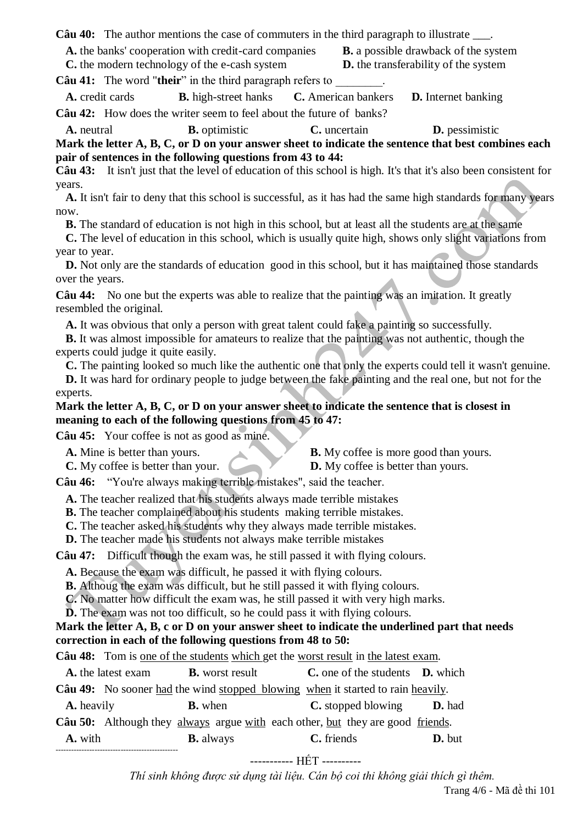**Câu 40:** The author mentions the case of commuters in the third paragraph to illustrate \_\_\_.

**A.** the banks' cooperation with credit-card companies **B.** a possible drawback of the system

**C.** the modern technology of the e-cash system **D.** the transferability of the system

**Câu 41:** The word "their" in the third paragraph refers to

**A.** credit cards **B.** high-street hanks **C.** American bankers **D.** Internet banking **Câu 42:** How does the writer seem to feel about the future of banks?

**A.** neutral **B.** optimistic **C.** uncertain **D.** pessimistic

**Mark the letter A, B, C, or D on your answer sheet to indicate the sentence that best combines each pair of sentences in the following questions from 43 to 44:**

**Câu 43:** It isn't just that the level of education of this school is high. It's that it's also been consistent for years.

**A.** It isn't fair to deny that this school is successful, as it has had the same high standards for many years now.

**B.** The standard of education is not high in this school, but at least all the students are at the same

**C.** The level of education in this school, which is usually quite high, shows only slight variations from year to year.

**D.** Not only are the standards of education good in this school, but it has maintained those standards over the years.

**Câu 44:** No one but the experts was able to realize that the painting was an imitation. It greatly resembled the original.

**A.** It was obvious that only a person with great talent could fake a painting so successfully.

**B.** It was almost impossible for amateurs to realize that the painting was not authentic, though the experts could judge it quite easily.

**C.** The painting looked so much like the authentic one that only the experts could tell it wasn't genuine.

**D.** It was hard for ordinary people to judge between the fake painting and the real one, but not for the experts.

## **Mark the letter A, B, C, or D on your answer sheet to indicate the sentence that is closest in meaning to each of the following questions from 45 to 47:**

**Câu 45:** Your coffee is not as good as mine.

-----------------------------------------------

**A.** Mine is better than yours. **B.** My coffee is more good than yours.

**C.** My coffee is better than your. **D.** My coffee is better than yours.

**Câu 46:** "You're always making terrible mistakes", said the teacher.

**A.** The teacher realized that his students always made terrible mistakes

**B.** The teacher complained about his students making terrible mistakes.

**C.** The teacher asked his students why they always made terrible mistakes.

**D.** The teacher made his students not always make terrible mistakes

**Câu 47:** Difficult though the exam was, he still passed it with flying colours.

**A.** Because the exam was difficult, he passed it with flying colours.

**B.** Althoug the exam was difficult, but he still passed it with flying colours.

**C.** No matter how difficult the exam was, he still passed it with very high marks.

**D.** The exam was not too difficult, so he could pass it with flying colours.

## **Mark the letter A, B, c or D on your answer sheet to indicate the underlined part that needs correction in each of the following questions from 48 to 50:**

**Câu 48:** Tom is one of the students which get the worst result in the latest exam.

|                   | A. the latest exam | <b>B.</b> worst result | <b>C</b> , one of the students <b>D</b> , which                                 |               |
|-------------------|--------------------|------------------------|---------------------------------------------------------------------------------|---------------|
|                   |                    |                        | Câu 49: No sooner had the wind stopped blowing when it started to rain heavily. |               |
| <b>A.</b> heavily |                    | <b>B.</b> when         | <b>C.</b> stopped blowing                                                       | <b>D.</b> had |
|                   |                    |                        | Câu 50: Although they always argue with each other, but they are good friends.  |               |
| A. with           |                    | <b>B.</b> always       | C. friends                                                                      | <b>D.</b> but |

----------- HẾT ----------

*Thí sinh không được sử dụng tài liệu. Cán bộ coi thi không giải thích gì thêm.*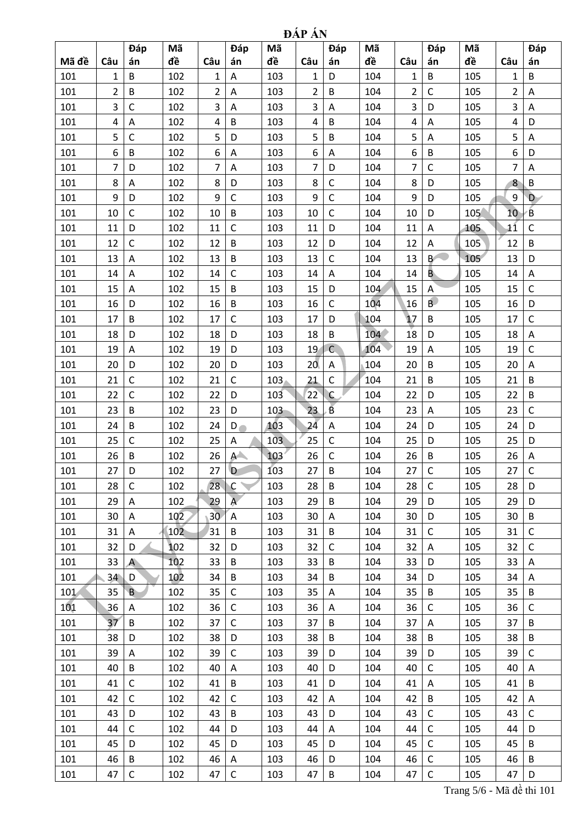| <b>DAP AN</b> |  |
|---------------|--|
|               |  |

|       |                | Đáp            | Мã              |                 | Đáp                                  | Mã  |                 | Đáp            | Mã  |                | Đáp          | Mã  |                 | Đáp          |
|-------|----------------|----------------|-----------------|-----------------|--------------------------------------|-----|-----------------|----------------|-----|----------------|--------------|-----|-----------------|--------------|
| Mã đề | Câu            | án             | đề              | Câu             | án                                   | đề  | Câu             | án             | đề  | Câu            | án           | đề  | Câu             | án           |
| 101   | 1              | B              | 102             | 1               | Α                                    | 103 | $\mathbf{1}$    | D              | 104 | 1              | B            | 105 | 1               | B            |
| 101   | $\overline{2}$ | B              | 102             | $\overline{2}$  | Α                                    | 103 | $\overline{2}$  | B              | 104 | $\overline{2}$ | $\mathsf C$  | 105 | 2               | Α            |
| 101   | 3              | $\mathsf C$    | 102             | 3               | A                                    | 103 | 3               | Α              | 104 | 3              | D            | 105 | 3               | Α            |
| 101   | 4              | A              | 102             | 4               | B                                    | 103 | 4               | B              | 104 | 4              | A            | 105 | 4               | D            |
| 101   | 5              | C              | 102             | 5               | D                                    | 103 | 5               | B              | 104 | 5              | A            | 105 | 5               | Α            |
| 101   | 6              | B              | 102             | 6               | $\mathsf A$                          | 103 | 6               | Α              | 104 | 6              | B            | 105 | 6               | D            |
| 101   | $\overline{7}$ | D              | 102             | $\overline{7}$  | A                                    | 103 | $\overline{7}$  | D              | 104 | $\overline{7}$ | $\mathsf C$  | 105 | $\overline{7}$  | A            |
| 101   | 8              | Α              | 102             | 8               | D                                    | 103 | 8               | C              | 104 | 8              | D            | 105 | 8               | B            |
| 101   | 9              | D              | 102             | 9               | $\mathsf{C}$                         | 103 | 9               | $\mathsf{C}$   | 104 | 9              | D            | 105 | 9               | D            |
| 101   | 10             | C              | 102             | 10              | $\sf B$                              | 103 | 10              | $\mathsf{C}$   | 104 | 10             | D            | 105 | 10 <sup>1</sup> | B            |
| 101   | 11             | D              | 102             | 11              | $\mathsf{C}$                         | 103 | 11              | D              | 104 | 11             | Α            | 105 | 11              | $\mathsf{C}$ |
| 101   | 12             | $\mathsf C$    | 102             | 12              | $\overline{B}$                       | 103 | 12              | D              | 104 | 12             | Α            | 105 | 12              | B            |
| 101   | 13             | Α              | 102             | 13              | B                                    | 103 | 13              | $\mathsf{C}$   | 104 | 13             | B            | 105 | 13              | D            |
| 101   | 14             | A              | 102             | 14              | $\mathsf{C}$                         | 103 | 14              | A              | 104 | 14             | В.           | 105 | 14              | A            |
| 101   | 15             | Α              | 102             | 15              | B                                    | 103 | 15              | D              | 104 | 15             | Α            | 105 | 15              | $\mathsf{C}$ |
| 101   | 16             | D              | 102             | 16              | $\overline{B}$                       | 103 | 16              | $\mathsf{C}$   | 104 | 16             | B            | 105 | 16              | D            |
| 101   | 17             | B              | 102             | 17              | $\mathsf{C}$                         | 103 | 17              | D              | 104 | 17             | B            | 105 | 17              | $\mathsf C$  |
| 101   | 18             | D              | 102             | 18              | D                                    | 103 | 18              | B              | 104 | 18             | D            | 105 | 18              | A            |
| 101   | 19             | A              | 102             | 19              | D                                    | 103 | 19              | $\mathsf{C}$   | 104 | 19             | A            | 105 | 19              | $\mathsf C$  |
| 101   | 20             | D              | 102             | 20              | D                                    | 103 | 20 <sub>1</sub> | A              | 104 | 20             | B            | 105 | 20              | Α            |
| 101   | 21             | $\mathsf C$    | 102             | 21              | $\mathsf{C}$                         | 103 | 21              | $\mathsf{C}$   | 104 | 21             | B            | 105 | 21              | B            |
| 101   | 22             | $\mathsf C$    | 102             | 22              | D                                    | 103 | 22              | $\mathfrak{C}$ | 104 | 22             | D            | 105 | 22              | B            |
| 101   | 23             | B              | 102             | 23              | D                                    | 103 | 23              | $\overline{B}$ | 104 | 23             | A            | 105 | 23              | $\mathsf{C}$ |
| 101   | 24             | B              | 102             | 24              | D                                    | 103 | 24              | Α              | 104 | 24             | D            | 105 | 24              | D            |
| 101   | 25             | $\mathsf C$    | 102             | 25              | Α                                    | 103 | 25              | $\mathsf C$    | 104 | 25             | D            | 105 | 25              | D            |
| 101   | 26             | B              | 102             | 26              | $A^+$                                | 103 | 26              | $\mathsf{C}$   | 104 | 26             | B            | 105 | 26              | $\mathsf A$  |
| 101   | 27             | D              | 102             | 27              | D                                    | 103 | 27              | B              | 104 | 27             | $\mathsf{C}$ | 105 | 27              | $\mathsf C$  |
| 101   | 28             | $\mathsf C$    | 102             | 28              | $\mathsf{C}$<br>$\blacktriangledown$ | 103 | 28              | B              | 104 | 28             | $\mathsf C$  | 105 | 28              | D            |
| 101   | 29             | Α              | 102             | 29              | $\overline{A}$                       | 103 | 29              | B              | 104 | 29             | D            | 105 | 29              | D            |
| 101   | 30             | Α              | 10 <sup>2</sup> | 30 <sup>7</sup> | Α                                    | 103 | 30              | A              | 104 | 30             | D            | 105 | 30              | B            |
| 101   | 31             | A              | 102             | 31              | B                                    | 103 | 31              | B              | 104 | 31             | $\mathsf{C}$ | 105 | 31              | $\mathsf C$  |
| 101   | 32             | D              | 102             | 32              | D                                    | 103 | 32              | $\mathsf{C}$   | 104 | 32             | Α            | 105 | 32              | $\mathsf C$  |
| 101   | 33             | $\mathsf{A}$   | 102             | 33              | $\sf B$                              | 103 | 33              | B              | 104 | 33             | D            | 105 | 33              | A            |
| 101   | 34             | D              | 102             | 34              | B                                    | 103 | 34              | B              | 104 | 34             | D            | 105 | 34              | A            |
| 101   | 35             | $\overline{B}$ | 102             | 35              | $\mathsf{C}$                         | 103 | 35              | $\mathsf A$    | 104 | 35             | B            | 105 | 35              | B            |
| 101   | 36             | A              | 102             | 36              | $\mathsf C$                          | 103 | 36              | A              | 104 | 36             | $\mathsf{C}$ | 105 | 36              | $\mathsf C$  |
| 101   | 37             | B              | 102             | 37              | $\mathsf{C}$                         | 103 | 37              | B              | 104 | 37             | Α            | 105 | 37              | B            |
| 101   | 38             | D              | 102             | 38              | D                                    | 103 | 38              | B              | 104 | 38             | B            | 105 | 38              | B            |
| 101   | 39             | A              | 102             | 39              | $\mathsf{C}$                         | 103 | 39              | D              | 104 | 39             | D            | 105 | 39              | $\mathsf C$  |
| 101   | 40             | B              | 102             | 40              | $\mathsf A$                          | 103 | 40              | D              | 104 | 40             | $\mathsf C$  | 105 | 40              | A            |
| 101   | 41             | $\mathsf C$    | 102             | 41              | B                                    | 103 | 41              | D              | 104 | 41             | A            | 105 | 41              | B            |
| 101   | 42             | $\mathsf{C}$   | 102             | 42              | $\mathsf{C}$                         | 103 | 42              | A              | 104 | 42             | B            | 105 | 42              | A            |
| 101   | 43             | D              | 102             | 43              | B                                    | 103 | 43              | D              | 104 | 43             | $\mathsf{C}$ | 105 | 43              | $\mathsf C$  |
| 101   | 44             | C              | 102             | 44              | D                                    | 103 | 44              | A              | 104 | 44             | $\mathsf{C}$ | 105 | 44              | D            |
| 101   | 45             | D              | 102             | 45              | D                                    | 103 | 45              | D              | 104 | 45             | $\mathsf{C}$ | 105 | 45              | B            |
| 101   | 46             | B              | 102             | 46              | Α                                    | 103 | 46              | D              | 104 | 46             | $\mathsf{C}$ | 105 | 46              | B            |
| 101   | 47             | $\mathsf C$    | 102             | 47              | $\mathsf C$                          | 103 | 47              | B              | 104 | 47             | $\mathsf C$  | 105 | 47              | D            |

Trang 5/6 - Mã đề thi 101